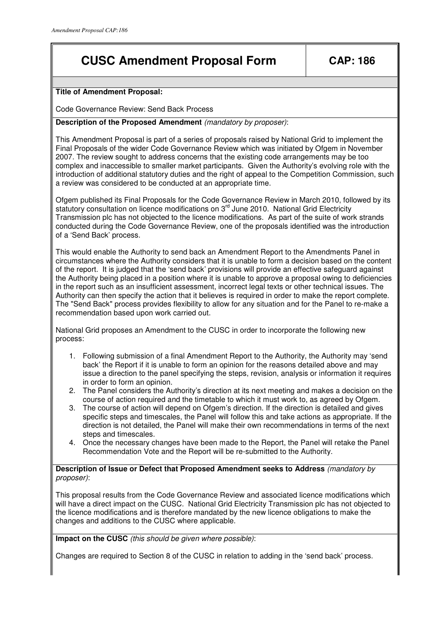# **CUSC Amendment Proposal Form | CAP: 186**

## **Title of Amendment Proposal:**

Code Governance Review: Send Back Process

**Description of the Proposed Amendment** (mandatory by proposer):

This Amendment Proposal is part of a series of proposals raised by National Grid to implement the Final Proposals of the wider Code Governance Review which was initiated by Ofgem in November 2007. The review sought to address concerns that the existing code arrangements may be too complex and inaccessible to smaller market participants. Given the Authority's evolving role with the introduction of additional statutory duties and the right of appeal to the Competition Commission, such a review was considered to be conducted at an appropriate time.

Ofgem published its Final Proposals for the Code Governance Review in March 2010, followed by its statutory consultation on licence modifications on 3<sup>rd</sup> June 2010. National Grid Electricity Transmission plc has not objected to the licence modifications. As part of the suite of work strands conducted during the Code Governance Review, one of the proposals identified was the introduction of a 'Send Back' process.

This would enable the Authority to send back an Amendment Report to the Amendments Panel in circumstances where the Authority considers that it is unable to form a decision based on the content of the report. It is judged that the 'send back' provisions will provide an effective safeguard against the Authority being placed in a position where it is unable to approve a proposal owing to deficiencies in the report such as an insufficient assessment, incorrect legal texts or other technical issues. The Authority can then specify the action that it believes is required in order to make the report complete. The "Send Back" process provides flexibility to allow for any situation and for the Panel to re-make a recommendation based upon work carried out.

National Grid proposes an Amendment to the CUSC in order to incorporate the following new process:

- 1. Following submission of a final Amendment Report to the Authority, the Authority may 'send back' the Report if it is unable to form an opinion for the reasons detailed above and may issue a direction to the panel specifying the steps, revision, analysis or information it requires in order to form an opinion.
- 2. The Panel considers the Authority's direction at its next meeting and makes a decision on the course of action required and the timetable to which it must work to, as agreed by Ofgem.
- 3. The course of action will depend on Ofgem's direction. If the direction is detailed and gives specific steps and timescales, the Panel will follow this and take actions as appropriate. If the direction is not detailed, the Panel will make their own recommendations in terms of the next steps and timescales.
- 4. Once the necessary changes have been made to the Report, the Panel will retake the Panel Recommendation Vote and the Report will be re-submitted to the Authority.

**Description of Issue or Defect that Proposed Amendment seeks to Address** (mandatory by proposer):

This proposal results from the Code Governance Review and associated licence modifications which will have a direct impact on the CUSC. National Grid Electricity Transmission plc has not objected to the licence modifications and is therefore mandated by the new licence obligations to make the changes and additions to the CUSC where applicable.

**Impact on the CUSC** (this should be given where possible):

Changes are required to Section 8 of the CUSC in relation to adding in the 'send back' process.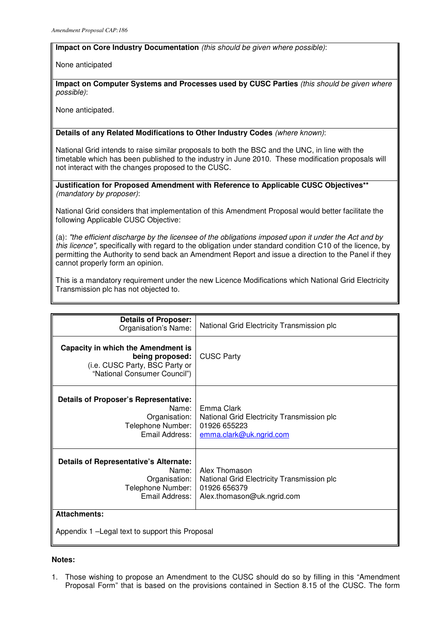### **Impact on Core Industry Documentation** (this should be given where possible):

None anticipated

**Impact on Computer Systems and Processes used by CUSC Parties** (this should be given where possible):

None anticipated.

**Details of any Related Modifications to Other Industry Codes** (where known):

National Grid intends to raise similar proposals to both the BSC and the UNC, in line with the timetable which has been published to the industry in June 2010. These modification proposals will not interact with the changes proposed to the CUSC.

**Justification for Proposed Amendment with Reference to Applicable CUSC Objectives\*\***  (mandatory by proposer):

National Grid considers that implementation of this Amendment Proposal would better facilitate the following Applicable CUSC Objective:

(a): "the efficient discharge by the licensee of the obligations imposed upon it under the Act and by this licence", specifically with regard to the obligation under standard condition C10 of the licence, by permitting the Authority to send back an Amendment Report and issue a direction to the Panel if they cannot properly form an opinion.

This is a mandatory requirement under the new Licence Modifications which National Grid Electricity Transmission plc has not objected to.

| <b>Details of Proposer:</b><br>Organisation's Name:                                                                     | National Grid Electricity Transmission plc                                                                |
|-------------------------------------------------------------------------------------------------------------------------|-----------------------------------------------------------------------------------------------------------|
| Capacity in which the Amendment is<br>being proposed:<br>(i.e. CUSC Party, BSC Party or<br>"National Consumer Council") | <b>CUSC Party</b>                                                                                         |
| <b>Details of Proposer's Representative:</b><br>Name:<br>Organisation:<br>Telephone Number:<br>Email Address:           | Emma Clark<br>National Grid Electricity Transmission plc<br>01926 655223<br>emma.clark@uk.ngrid.com       |
| <b>Details of Representative's Alternate:</b><br>Name:<br>Organisation:<br>Telephone Number:<br>Email Address:          | Alex Thomason<br>National Grid Electricity Transmission plc<br>01926 656379<br>Alex.thomason@uk.ngrid.com |
| <b>Attachments:</b><br>Appendix 1 – Legal text to support this Proposal                                                 |                                                                                                           |

### **Notes:**

1. Those wishing to propose an Amendment to the CUSC should do so by filling in this "Amendment Proposal Form" that is based on the provisions contained in Section 8.15 of the CUSC. The form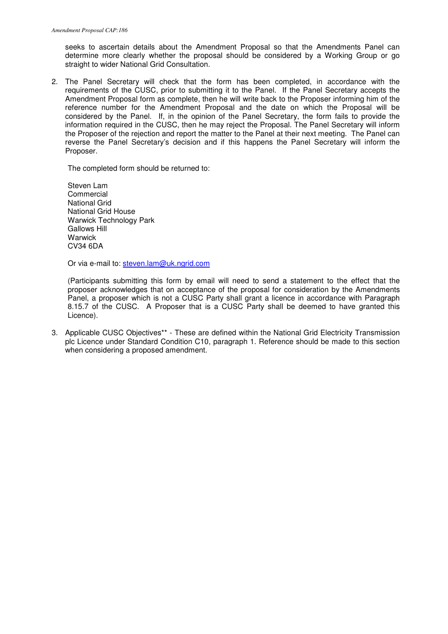seeks to ascertain details about the Amendment Proposal so that the Amendments Panel can determine more clearly whether the proposal should be considered by a Working Group or go straight to wider National Grid Consultation.

2. The Panel Secretary will check that the form has been completed, in accordance with the requirements of the CUSC, prior to submitting it to the Panel. If the Panel Secretary accepts the Amendment Proposal form as complete, then he will write back to the Proposer informing him of the reference number for the Amendment Proposal and the date on which the Proposal will be considered by the Panel. If, in the opinion of the Panel Secretary, the form fails to provide the information required in the CUSC, then he may reject the Proposal. The Panel Secretary will inform the Proposer of the rejection and report the matter to the Panel at their next meeting. The Panel can reverse the Panel Secretary's decision and if this happens the Panel Secretary will inform the Proposer.

The completed form should be returned to:

Steven Lam Commercial National Grid National Grid House Warwick Technology Park Gallows Hill **Warwick** CV34 6DA

Or via e-mail to: steven.lam@uk.ngrid.com

(Participants submitting this form by email will need to send a statement to the effect that the proposer acknowledges that on acceptance of the proposal for consideration by the Amendments Panel, a proposer which is not a CUSC Party shall grant a licence in accordance with Paragraph 8.15.7 of the CUSC. A Proposer that is a CUSC Party shall be deemed to have granted this Licence).

3. Applicable CUSC Objectives\*\* - These are defined within the National Grid Electricity Transmission plc Licence under Standard Condition C10, paragraph 1. Reference should be made to this section when considering a proposed amendment.